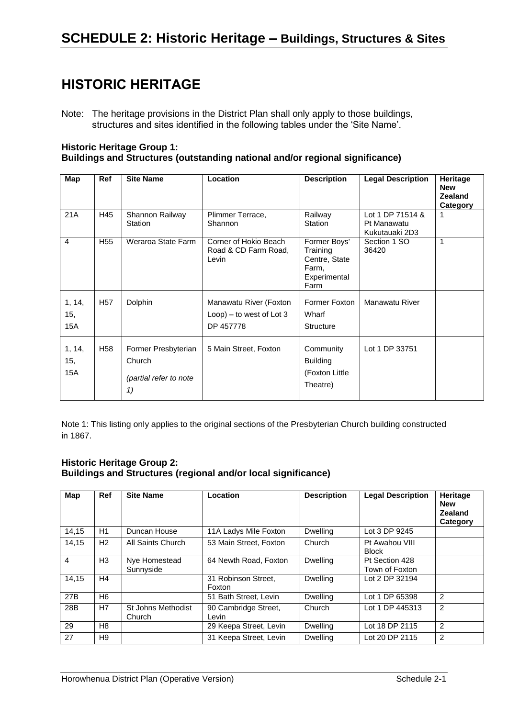### **HISTORIC HERITAGE**

#### **Historic Heritage Group 1: Buildings and Structures (outstanding national and/or regional significance)**

| Map                  | <b>Ref</b>      | <b>Site Name</b>                                              | Location                                                           | <b>Description</b>                                                         | <b>Legal Description</b>                          | Heritage<br><b>New</b><br><b>Zealand</b><br>Category |
|----------------------|-----------------|---------------------------------------------------------------|--------------------------------------------------------------------|----------------------------------------------------------------------------|---------------------------------------------------|------------------------------------------------------|
| 21A                  | H45             | Shannon Railway<br>Station                                    | Plimmer Terrace,<br>Shannon                                        | Railway<br>Station                                                         | Lot 1 DP 71514 &<br>Pt Manawatu<br>Kukutauaki 2D3 | 1                                                    |
| 4                    | H <sub>55</sub> | Weraroa State Farm                                            | Corner of Hokio Beach<br>Road & CD Farm Road,<br>Levin             | Former Boys'<br>Training<br>Centre, State<br>Farm,<br>Experimental<br>Farm | Section 1 SO<br>36420                             | 1                                                    |
| 1, 14,<br>15,<br>15A | H <sub>57</sub> | Dolphin                                                       | Manawatu River (Foxton<br>$Loop$ ) – to west of Lot 3<br>DP 457778 | Former Foxton<br>Wharf<br><b>Structure</b>                                 | Manawatu River                                    |                                                      |
| 1, 14,<br>15,<br>15A | H <sub>58</sub> | Former Presbyterian<br>Church<br>(partial refer to note<br>1) | 5 Main Street, Foxton                                              | Community<br><b>Building</b><br>(Foxton Little<br>Theatre)                 | Lot 1 DP 33751                                    |                                                      |

Note 1: This listing only applies to the original sections of the Presbyterian Church building constructed in 1867.

### **Historic Heritage Group 2: Buildings and Structures (regional and/or local significance)**

| Map            | Ref            | <b>Site Name</b>             | Location                      | <b>Description</b> | <b>Legal Description</b>         | Heritage<br><b>New</b><br><b>Zealand</b><br>Category |
|----------------|----------------|------------------------------|-------------------------------|--------------------|----------------------------------|------------------------------------------------------|
| 14,15          | H1             | Duncan House                 | 11A Ladys Mile Foxton         | <b>Dwelling</b>    | Lot 3 DP 9245                    |                                                      |
| 14,15          | H2             | All Saints Church            | 53 Main Street, Foxton        | Church             | Pt Awahou VIII<br><b>Block</b>   |                                                      |
| $\overline{4}$ | H <sub>3</sub> | Nye Homestead<br>Sunnyside   | 64 Newth Road, Foxton         | <b>Dwelling</b>    | Pt Section 428<br>Town of Foxton |                                                      |
| 14,15          | H4             |                              | 31 Robinson Street.<br>Foxton | <b>Dwelling</b>    | Lot 2 DP 32194                   |                                                      |
| 27B            | H <sub>6</sub> |                              | 51 Bath Street, Levin         | <b>Dwelling</b>    | Lot 1 DP 65398                   | 2                                                    |
| 28B            | H7             | St Johns Methodist<br>Church | 90 Cambridge Street,<br>Levin | Church             | Lot 1 DP 445313                  | 2                                                    |
| 29             | H8             |                              | 29 Keepa Street, Levin        | Dwelling           | Lot 18 DP 2115                   | $\overline{2}$                                       |
| 27             | H <sub>9</sub> |                              | 31 Keepa Street, Levin        | <b>Dwelling</b>    | Lot 20 DP 2115                   | $\overline{2}$                                       |

Note: The heritage provisions in the District Plan shall only apply to those buildings, structures and sites identified in the following tables under the 'Site Name'.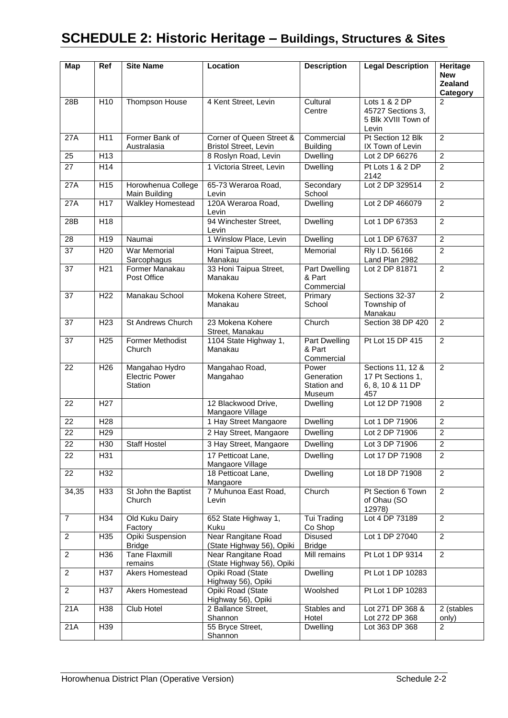# **SCHEDULE 2: Historic Heritage – Buildings, Structures & Sites**

| <b>Map</b>      | <b>Ref</b>       | <b>Site Name</b>                                   | Location                                                 | <b>Description</b>                           | <b>Legal Description</b>                                           | <b>Heritage</b><br><b>New</b><br><b>Zealand</b><br>Category |
|-----------------|------------------|----------------------------------------------------|----------------------------------------------------------|----------------------------------------------|--------------------------------------------------------------------|-------------------------------------------------------------|
| 28B             | H <sub>10</sub>  | Thompson House                                     | 4 Kent Street, Levin                                     | Cultural<br>Centre                           | Lots 1 & 2 DP<br>45727 Sections 3,<br>5 Blk XVIII Town of<br>Levin | 2                                                           |
| 27A             | H11              | Former Bank of<br>Australasia                      | Corner of Queen Street &<br><b>Bristol Street, Levin</b> | Commercial<br><b>Building</b>                | Pt Section 12 Blk<br>IX Town of Levin                              | $\overline{2}$                                              |
| $\overline{25}$ | $\overline{H13}$ |                                                    | 8 Roslyn Road, Levin                                     | Dwelling                                     | Lot 2 DP 66276                                                     | $\overline{2}$                                              |
| 27              | H14              |                                                    | 1 Victoria Street, Levin                                 | Dwelling                                     | Pt Lots 1 & 2 DP<br>2142                                           | $\overline{2}$                                              |
| 27A             | H <sub>15</sub>  | Horowhenua College<br>Main Building                | 65-73 Weraroa Road,<br>Levin                             | Secondary<br>School                          | Lot 2 DP 329514                                                    | $\overline{2}$                                              |
| 27A             | H17              | Walkley Homestead                                  | 120A Weraroa Road,<br>Levin                              | Dwelling                                     | Lot 2 DP 466079                                                    | $\overline{2}$                                              |
| 28B             | H <sub>18</sub>  |                                                    | 94 Winchester Street,<br>Levin                           | Dwelling                                     | Lot 1 DP 67353                                                     | $\overline{2}$                                              |
| 28              | H <sub>19</sub>  | Naumai                                             | 1 Winslow Place, Levin                                   | Dwelling                                     | Lot 1 DP 67637                                                     | $\overline{c}$                                              |
| 37              | H <sub>20</sub>  | <b>War Memorial</b><br>Sarcophagus                 | Honi Taipua Street,<br>Manakau                           | Memorial                                     | Rly I.D. 56166<br>Land Plan 2982                                   | $\overline{2}$                                              |
| 37              | H <sub>21</sub>  | Former Manakau<br>Post Office                      | 33 Honi Taipua Street,<br>Manakau                        | Part Dwelling<br>& Part<br>Commercial        | Lot 2 DP 81871                                                     | $\overline{2}$                                              |
| 37              | H <sub>22</sub>  | Manakau School                                     | Mokena Kohere Street,<br>Manakau                         | Primary<br>School                            | Sections 32-37<br>Township of<br>Manakau                           | $\overline{2}$                                              |
| 37              | H <sub>23</sub>  | <b>St Andrews Church</b>                           | 23 Mokena Kohere<br>Street, Manakau                      | Church                                       | Section 38 DP 420                                                  | $\overline{2}$                                              |
| 37              | H <sub>25</sub>  | <b>Former Methodist</b><br>Church                  | 1104 State Highway 1,<br>Manakau                         | Part Dwelling<br>& Part<br>Commercial        | Pt Lot 15 DP 415                                                   | $\overline{2}$                                              |
| 22              | H <sub>26</sub>  | Mangahao Hydro<br><b>Electric Power</b><br>Station | Mangahao Road,<br>Mangahao                               | Power<br>Generation<br>Station and<br>Museum | Sections 11, 12 &<br>17 Pt Sections 1,<br>6, 8, 10 & 11 DP<br>457  | $\overline{2}$                                              |
| 22              | H <sub>27</sub>  |                                                    | 12 Blackwood Drive,<br>Mangaore Village                  | Dwelling                                     | Lot 12 DP 71908                                                    | $\overline{2}$                                              |
| 22              | H <sub>28</sub>  |                                                    | 1 Hay Street Mangaore                                    | Dwelling                                     | Lot 1 DP 71906                                                     | $\overline{2}$                                              |
| 22              | H <sub>29</sub>  |                                                    | 2 Hay Street, Mangaore                                   | Dwelling                                     | Lot 2 DP 71906                                                     | $\overline{c}$                                              |
| 22              | H <sub>30</sub>  | Staff Hostel                                       | 3 Hay Street, Mangaore                                   | Dwelling                                     | Lot 3 DP 71906                                                     | 2                                                           |
| 22              | H31              |                                                    | 17 Petticoat Lane,<br>Mangaore Village                   | <b>Dwelling</b>                              | Lot 17 DP 71908                                                    | $\overline{2}$                                              |
| 22              | H32              |                                                    | 18 Petticoat Lane,<br>Mangaore                           | Dwelling                                     | Lot 18 DP 71908                                                    | $\overline{2}$                                              |
| 34,35           | H33              | St John the Baptist<br>Church                      | 7 Muhunoa East Road,<br>Levin                            | Church                                       | Pt Section 6 Town<br>of Ohau (SO<br>12978)                         | $\overline{2}$                                              |
| $\overline{7}$  | H34              | Old Kuku Dairy<br>Factory                          | 652 State Highway 1,<br><b>Kuku</b>                      | Tui Trading<br>Co Shop                       | Lot 4 DP 73189                                                     | $\overline{2}$                                              |
| $\overline{c}$  | H35              | Opiki Suspension<br><b>Bridge</b>                  | Near Rangitane Road<br>(State Highway 56), Opiki         | Disused<br><b>Bridge</b>                     | Lot 1 DP 27040                                                     | 2                                                           |
| $\overline{2}$  | H36              | <b>Tane Flaxmill</b><br>remains                    | Near Rangitane Road<br>(State Highway 56), Opiki         | Mill remains                                 | Pt Lot 1 DP 9314                                                   | $\overline{2}$                                              |
| $\overline{c}$  | H37              | Akers Homestead                                    | Opiki Road (State<br>Highway 56), Opiki                  | Dwelling                                     | Pt Lot 1 DP 10283                                                  |                                                             |
| $\overline{2}$  | H37              | Akers Homestead                                    | Opiki Road (State<br>Highway 56), Opiki                  | Woolshed                                     | Pt Lot 1 DP 10283                                                  |                                                             |
| 21A             | H38              | Club Hotel                                         | 2 Ballance Street,<br>Shannon                            | Stables and<br>Hotel                         | Lot 271 DP 368 &<br>Lot 272 DP 368                                 | 2 (stables<br>only)                                         |
| 21A             | H39              |                                                    | 55 Bryce Street,<br>Shannon                              | <b>Dwelling</b>                              | Lot 363 DP 368                                                     | $\overline{2}$                                              |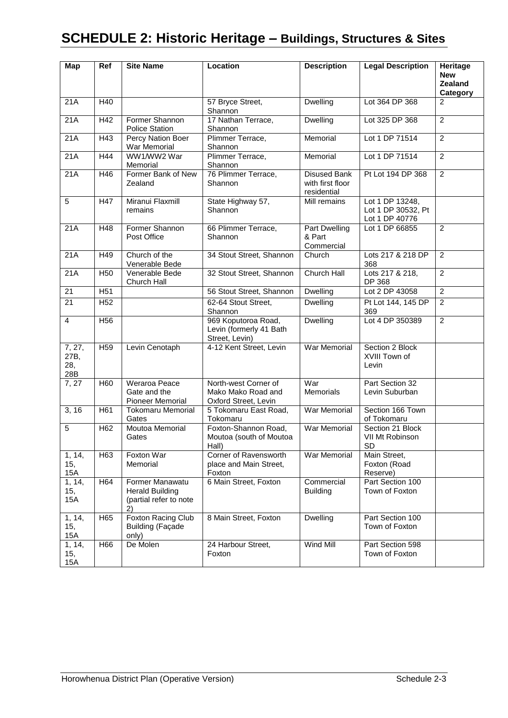| Map                          | Ref             | <b>Site Name</b>                                                          | Location                                                           | <b>Description</b>                                     | <b>Legal Description</b>                                | Heritage<br><b>New</b><br>Zealand<br>Category |
|------------------------------|-----------------|---------------------------------------------------------------------------|--------------------------------------------------------------------|--------------------------------------------------------|---------------------------------------------------------|-----------------------------------------------|
| 21A                          | H40             |                                                                           | 57 Bryce Street,<br>Shannon                                        | Dwelling                                               | Lot 364 DP 368                                          | $\overline{2}$                                |
| 21A                          | H42             | Former Shannon<br><b>Police Station</b>                                   | 17 Nathan Terrace,<br>Shannon                                      | Dwelling                                               | Lot 325 DP 368                                          | $\overline{2}$                                |
| 21A                          | H43             | Percy Nation Boer<br>War Memorial                                         | Plimmer Terrace,<br>Shannon                                        | Memorial                                               | Lot 1 DP 71514                                          | 2                                             |
| 21A                          | H44             | WW1/WW2 War<br>Memorial                                                   | Plimmer Terrace,<br>Shannon                                        | Memorial                                               | Lot 1 DP 71514                                          | $\overline{2}$                                |
| 21A                          | H46             | Former Bank of New<br>Zealand                                             | 76 Plimmer Terrace,<br>Shannon                                     | <b>Disused Bank</b><br>with first floor<br>residential | Pt Lot 194 DP 368                                       | $\overline{2}$                                |
| 5                            | H47             | Miranui Flaxmill<br>remains                                               | State Highway 57,<br>Shannon                                       | Mill remains                                           | Lot 1 DP 13248,<br>Lot 1 DP 30532, Pt<br>Lot 1 DP 40776 |                                               |
| 21A                          | H48             | Former Shannon<br>Post Office                                             | 66 Plimmer Terrace,<br>Shannon                                     | Part Dwelling<br>& Part<br>Commercial                  | Lot 1 DP 66855                                          | $\overline{2}$                                |
| 21A                          | H49             | Church of the<br>Venerable Bede                                           | 34 Stout Street, Shannon                                           | Church                                                 | Lots 217 & 218 DP<br>368                                | $\overline{2}$                                |
| 21A                          | H <sub>50</sub> | Venerable Bede<br>Church Hall                                             | 32 Stout Street, Shannon                                           | <b>Church Hall</b>                                     | Lots 217 & 218,<br>DP 368                               | $\overline{2}$                                |
| 21                           | H <sub>51</sub> |                                                                           | 56 Stout Street, Shannon                                           | Dwelling                                               | Lot 2 DP 43058                                          | $\overline{2}$                                |
| 21                           | H <sub>52</sub> |                                                                           | 62-64 Stout Street,<br>Shannon                                     | Dwelling                                               | Pt Lot 144, 145 DP<br>369                               | $\overline{2}$                                |
| 4                            | H <sub>56</sub> |                                                                           | 969 Koputoroa Road,<br>Levin (formerly 41 Bath<br>Street, Levin)   | Dwelling                                               | Lot 4 DP 350389                                         | $\overline{2}$                                |
| 7, 27,<br>27B,<br>28,<br>28B | H <sub>59</sub> | Levin Cenotaph                                                            | 4-12 Kent Street, Levin                                            | War Memorial                                           | Section 2 Block<br>XVIII Town of<br>Levin               |                                               |
| 7, 27                        | H60             | Weraroa Peace<br>Gate and the<br>Pioneer Memorial                         | North-west Corner of<br>Mako Mako Road and<br>Oxford Street, Levin | War<br>Memorials                                       | Part Section 32<br>Levin Suburban                       |                                               |
| 3, 16                        | H <sub>61</sub> | Tokomaru Memorial<br>Gates                                                | 5 Tokomaru East Road,<br>Tokomaru                                  | War Memorial                                           | Section 166 Town<br>of Tokomaru                         |                                               |
| $\overline{5}$               | H <sub>62</sub> | Moutoa Memorial<br>Gates                                                  | Foxton-Shannon Road,<br>Moutoa (south of Moutoa<br>Hall)           | War Memorial                                           | Section 21 Block<br>VII Mt Robinson<br>SD               |                                               |
| 1, 14,<br>15,<br>15A         | H <sub>63</sub> | Foxton War<br>Memorial                                                    | Corner of Ravensworth<br>place and Main Street,<br>Foxton          | <b>War Memorial</b>                                    | Main Street,<br>Foxton (Road<br>Reserve)                |                                               |
| 1, 14,<br>15,<br>15A         | H64             | Former Manawatu<br><b>Herald Building</b><br>(partial refer to note<br>2) | 6 Main Street, Foxton                                              | Commercial<br><b>Building</b>                          | Part Section 100<br>Town of Foxton                      |                                               |
| 1, 14,<br>15,<br>15A         | H65             | Foxton Racing Club<br><b>Building (Façade</b><br>only)                    | 8 Main Street, Foxton                                              | Dwelling                                               | Part Section 100<br>Town of Foxton                      |                                               |
| 1, 14,<br>15,<br>15A         | H66             | De Molen                                                                  | 24 Harbour Street,<br>Foxton                                       | <b>Wind Mill</b>                                       | Part Section 598<br>Town of Foxton                      |                                               |

# **SCHEDULE 2: Historic Heritage – Buildings, Structures & Sites**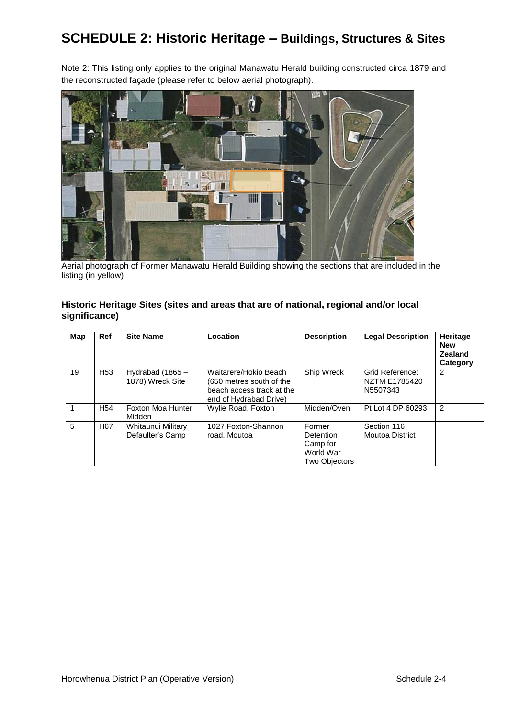Note 2: This listing only applies to the original Manawatu Herald building constructed circa 1879 and the reconstructed façade (please refer to below aerial photograph).



Aerial photograph of Former Manawatu Herald Building showing the sections that are included in the listing (in yellow)

#### **Historic Heritage Sites (sites and areas that are of national, regional and/or local significance)**

| Map | Ref             | <b>Site Name</b>                       | Location                                                                                                 | <b>Description</b>                                                   | <b>Legal Description</b>                     | Heritage<br><b>New</b><br><b>Zealand</b><br>Category |
|-----|-----------------|----------------------------------------|----------------------------------------------------------------------------------------------------------|----------------------------------------------------------------------|----------------------------------------------|------------------------------------------------------|
| 19  | H <sub>53</sub> | Hydrabad $(1865 -$<br>1878) Wreck Site | Waitarere/Hokio Beach<br>(650 metres south of the<br>beach access track at the<br>end of Hydrabad Drive) | Ship Wreck                                                           | Grid Reference:<br>NZTM E1785420<br>N5507343 | 2                                                    |
|     | H <sub>54</sub> | Foxton Moa Hunter<br>Midden            | Wylie Road, Foxton                                                                                       | Midden/Oven                                                          | Pt Lot 4 DP 60293                            | $\mathfrak{p}$                                       |
| 5   | H <sub>67</sub> | Whitaunui Military<br>Defaulter's Camp | 1027 Foxton-Shannon<br>road, Moutoa                                                                      | Former<br>Detention<br>Camp for<br>World War<br><b>Two Objectors</b> | Section 116<br>Moutoa District               |                                                      |